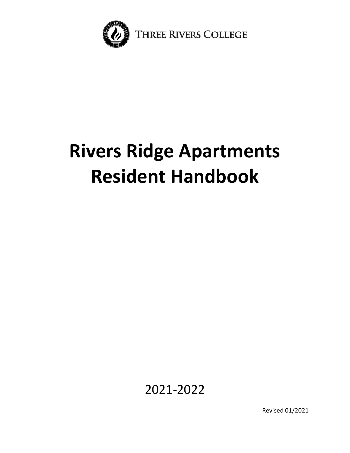

# **Rivers Ridge Apartments Resident Handbook**

2021-2022

Revised 01/2021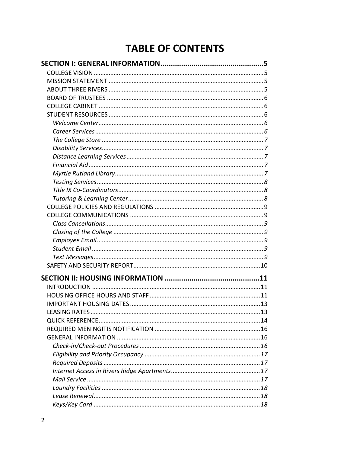# **TABLE OF CONTENTS**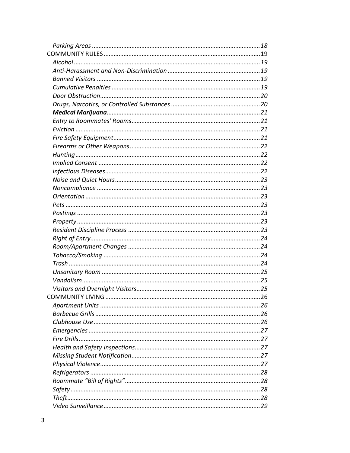| COMMUNITY LIVING | . 26 |
|------------------|------|
|                  |      |
|                  |      |
|                  |      |
|                  |      |
|                  |      |
|                  |      |
|                  |      |
|                  |      |
|                  |      |
|                  |      |
|                  |      |
|                  |      |
|                  |      |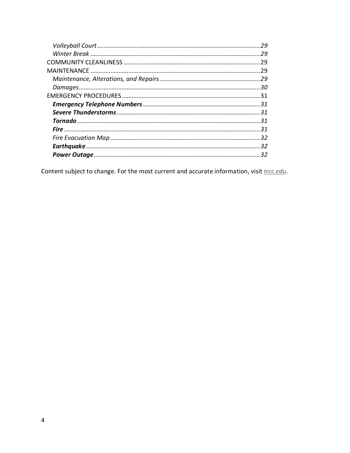| 29  |
|-----|
| 29  |
| .29 |
| 29  |
|     |
|     |
|     |
|     |
|     |
|     |
| 31  |
|     |
|     |
| 32  |

Content subject to change. For the most current and accurate information, visit *trcc.edu*.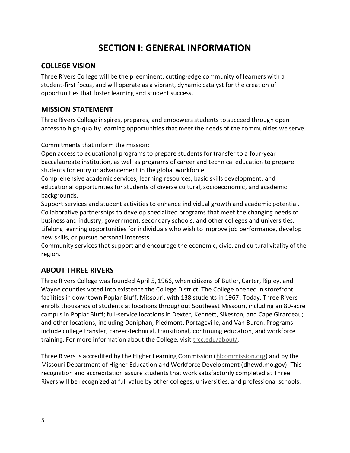# **SECTION I: GENERAL INFORMATION**

#### <span id="page-4-1"></span><span id="page-4-0"></span>**COLLEGE VISION**

Three Rivers College will be the preeminent, cutting-edge community of learners with a student-first focus, and will operate as a vibrant, dynamic catalyst for the creation of opportunities that foster learning and student success.

#### <span id="page-4-2"></span>**MISSION STATEMENT**

Three Rivers College inspires, prepares, and empowersstudents to succeed through open access to high-quality learning opportunities that meet the needs of the communities we serve.

Commitments that inform the mission:

Open access to educational programs to prepare students for transfer to a four-year baccalaureate institution, as well as programs of career and technical education to prepare students for entry or advancement in the global workforce.

Comprehensive academic services, learning resources, basic skills development, and educational opportunities for students of diverse cultural, socioeconomic, and academic backgrounds.

Support services and student activities to enhance individual growth and academic potential. Collaborative partnerships to develop specialized programs that meet the changing needs of business and industry, government, secondary schools, and other colleges and universities. Lifelong learning opportunities for individuals who wish to improve job performance, develop new skills, or pursue personal interests.

Community services that support and encourage the economic, civic, and cultural vitality of the region.

# <span id="page-4-3"></span>**ABOUT THREE RIVERS**

Three Rivers College was founded April 5, 1966, when citizens of Butler, Carter, Ripley, and Wayne counties voted into existence the College District. The College opened in storefront facilities in downtown Poplar Bluff, Missouri, with 138 students in 1967. Today, Three Rivers enrolls thousands of students at locations throughout Southeast Missouri, including an 80-acre campus in Poplar Bluff; full-service locations in Dexter, Kennett, Sikeston, and Cape Girardeau; and other locations, including Doniphan, Piedmont, Portageville, and Van Buren. Programs include college transfer, career-technical, transitional, continuing education, and workforce training. For more information about the College, visit [trcc.edu/about/.](https://trcc.edu/about/)

Three Rivers is accredited by the Higher Learning Commission [\(hlcommission.org\)](https://www.hlcommission.org/) and by the Missouri Department of Higher Education and Workforce Development [\(dhewd.mo.gov\)](https://dhewd.mo.gov/). This recognition and accreditation assure students that work satisfactorily completed at Three Rivers will be recognized at full value by other colleges, universities, and professional schools.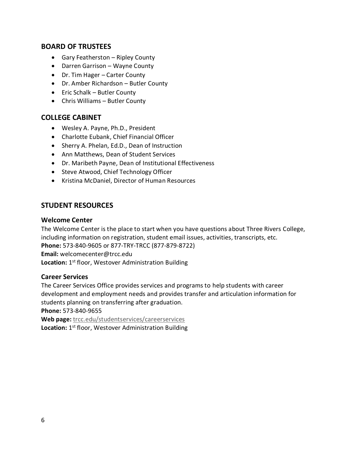#### <span id="page-5-0"></span>**BOARD OF TRUSTEES**

- Gary Featherston Ripley County
- Darren Garrison Wayne County
- Dr. Tim Hager Carter County
- Dr. Amber Richardson Butler County
- Eric Schalk Butler County
- Chris Williams Butler County

#### <span id="page-5-1"></span>**COLLEGE CABINET**

- Wesley A. Payne, Ph.D., President
- Charlotte Eubank, Chief Financial Officer
- Sherry A. Phelan, Ed.D., Dean of Instruction
- Ann Matthews, Dean of Student Services
- Dr. Maribeth Payne, Dean of Institutional Effectiveness
- Steve Atwood, Chief Technology Officer
- Kristina McDaniel, Director of Human Resources

#### <span id="page-5-2"></span>**STUDENT RESOURCES**

#### <span id="page-5-3"></span>**Welcome Center**

The Welcome Center is the place to start when you have questions about Three Rivers College, including information on registration, student email issues, activities, transcripts, etc. **Phone:** 573-840-9605 or 877-TRY-TRCC (877-879-8722) **Email:** [welcomecenter@trcc.edu](mailto:welcomecenter@trcc.edu) Location: 1<sup>st</sup> floor, Westover Administration Building

#### <span id="page-5-4"></span>**Career Services**

The Career Services Office provides services and programs to help students with career development and employment needs and provides transfer and articulation information for students planning on transferring after graduation.

**Phone:** 573-840-9655

**Web page:** [trcc.edu/studentservices/careerservices](https://trcc.edu/studentservices/careerservices.php) Location: 1<sup>st</sup> floor, Westover Administration Building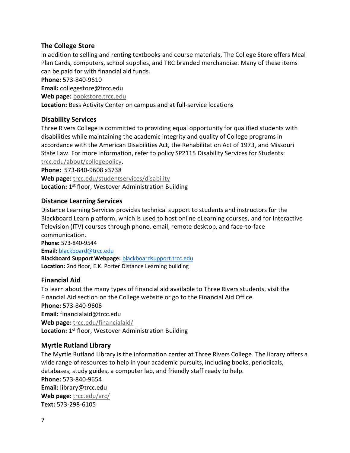#### <span id="page-6-0"></span>**The College Store**

In addition to selling and renting textbooks and course materials, The College Store offers Meal Plan Cards, computers, school supplies, and TRC branded merchandise. Many of these items can be paid for with financial aid funds.

**Phone:** 573-840-9610

**Email:** [collegestore@trcc.edu](mailto:collegestore@trcc.edu)

Web page: [bookstore](http://bookstore.trcc.edu/home.aspx).trcc.edu

**Location:** Bess Activity Center on campus and at full-service locations

#### <span id="page-6-1"></span>**Disability Services**

Three Rivers College is committed to providing equal opportunity for qualified students with disabilities while maintaining the academic integrity and quality of College programs in accordance with the American Disabilities Act, the Rehabilitation Act of 1973, and Missouri State Law. For more information, refer to policy SP2115 Disability Services for Students: [trcc.edu/about/collegepolicy.](http://www.trcc.edu/about/collegepolicy.php)

**Phone:** 573-840-9608 x3738

**Web page:** [trcc.edu/studentservices/disability](http://www.trcc.edu/studentservices/disability.php) Location: 1<sup>st</sup> floor, Westover Administration Building

#### <span id="page-6-2"></span>**Distance Learning Services**

Distance Learning Services provides technical support to students and instructors for the Blackboard Learn platform, which is used to host online eLearning courses, and for Interactive Television (ITV) courses through phone, email, remote desktop, and face-to-face communication. **Phone:** 573-840-9544 **Email:** [blackboard@trcc.edu](mailto:blackboard@trcc.edu)

**Blackboard Support Webpage:** [blackboardsupport.trcc.edu](http://blackboardsupport.trcc.edu/) **Location:** 2nd floor, E.K. Porter Distance Learning building

#### <span id="page-6-3"></span>**Financial Aid**

To learn about the many types of financial aid available to Three Rivers students, visit the Financial Aid section on the College website or go to the Financial Aid Office. **Phone:** 573-840-9606 **Email:** [financialaid@trcc.edu](mailto:financialaid@trcc.edu) **Web page:** [trcc.edu/financialaid/](https://www.trcc.edu/financialaid/) Location: 1<sup>st</sup> floor, Westover Administration Building

#### <span id="page-6-4"></span>**Myrtle Rutland Library**

The Myrtle Rutland Library is the information center at Three Rivers College. The library offers a wide range of resources to help in your academic pursuits, including books, periodicals, databases, study guides, a computer lab, and friendly staff ready to help. **Phone:** 573-840-9654 **Email:** [library@trcc.edu](mailto:library@trcc.edu) Web page: [trcc.edu/arc/](https://www.trcc.edu/arc/) **Text:** 573-298-6105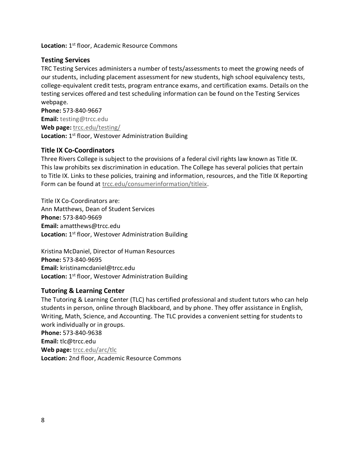**Location:** 1 st floor, Academic Resource Commons

#### <span id="page-7-0"></span>**Testing Services**

TRC Testing Services administers a number of tests/assessments to meet the growing needs of our students, including placement assessment for new students, high school equivalency tests, college-equivalent credit tests, program entrance exams, and certification exams. Details on the testing services offered and test scheduling information can be found on the Testing Services webpage.

**Phone:** 573-840-9667 **Email:** [testing@trcc.edu](mailto:testing@trcc.edu) **Web page:** [trcc.edu/testing/](https://www.trcc.edu/testing/) Location: 1<sup>st</sup> floor, Westover Administration Building

#### <span id="page-7-1"></span>**Title IX Co-Coordinators**

Three Rivers College is subject to the provisions of a federal civil rights law known as Title IX. This law prohibits sex discrimination in education. The College has several policies that pertain to Title IX. Links to these policies, training and information, resources, and the Title IX Reporting Form can be found at [trcc.edu/consumerinformation/titleix.](https://trcc.edu/consumerinformation/titleix.php)

Title IX Co-Coordinators are: Ann Matthews, Dean of Student Services **Phone:** 573-840-9669 **Email:** [amatthews@trcc.edu](mailto:amatthews@trcc.edu) Location: 1<sup>st</sup> floor, Westover Administration Building

Kristina McDaniel, Director of Human Resources **Phone:** 573-840-9695 **Email:** [kristinamcdaniel@trcc.edu](mailto:kristinamcdaniel@trcc.edu) Location: 1<sup>st</sup> floor, Westover Administration Building

#### <span id="page-7-2"></span>**Tutoring & Learning Center**

The Tutoring & Learning Center (TLC) has certified professional and student tutors who can help students in person, online through Blackboard, and by phone. They offer assistance in English, Writing, Math, Science, and Accounting. The TLC provides a convenient setting for students to work individually or in groups. **Phone:** 573-840-9638 **Email:** [tlc@trcc.edu](mailto:tlc@trcc.edu) **Web page:** [trcc.edu/arc/tlc](https://www.trcc.edu/arc/tlc.php) **Location:** 2nd floor, Academic Resource Commons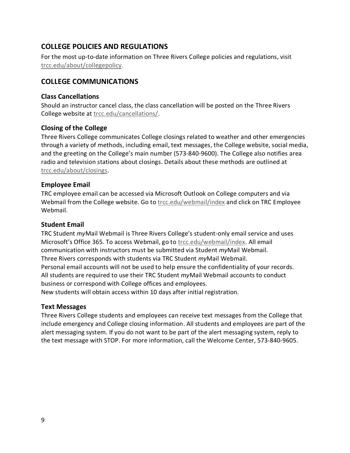# <span id="page-8-0"></span>**COLLEGE POLICIES AND REGULATIONS**

For the most up-to-date information on Three Rivers College policies and regulations, visit [trcc.edu/about/collegepolicy.](http://trcc.edu/about/collegepolicy.php)

#### <span id="page-8-1"></span>**COLLEGE COMMUNICATIONS**

#### <span id="page-8-2"></span>**Class Cancellations**

Should an instructor cancel class, the class cancellation will be posted on the Three Rivers College website at [trcc.edu/cancellations/.](https://trcc.edu/cancellations/)

#### <span id="page-8-3"></span>**Closing of the College**

Three Rivers College communicates College closings related to weather and other emergencies through a variety of methods, including email, text messages, the College website, social media, and the greeting on the College's main number (573-840-9600). The College also notifies area radio and television stations about closings. Details about these methods are outlined at [trcc.edu/about/closings.](https://trcc.edu/about/closings.php)

#### <span id="page-8-4"></span>**Employee Email**

TRC employee email can be accessed via Microsoft Outlook on College computers and via Webmail from the College website. Go to [trcc.edu/webmail/index](https://trcc.edu/webmail/index.php) and click on TRC Employee Webmail.

#### <span id="page-8-5"></span>**Student Email**

TRC Student *my*Mail Webmail is Three Rivers College's student-only email service and uses Microsoft's Office 365. To access Webmail, go to [trcc.edu/webmail/index.](https://trcc.edu/webmail/index.php) All email communication with instructors must be submitted via Student *my*Mail Webmail. Three Rivers corresponds with students via TRC Student *my*Mail Webmail. Personal email accounts will not be used to help ensure the confidentiality of your records. All students are required to use their TRC Student *my*Mail Webmail accounts to conduct business or correspond with College offices and employees.

New students will obtain access within 10 days after initial registration.

#### <span id="page-8-6"></span>**Text Messages**

Three Rivers College students and employees can receive text messages from the College that include emergency and College closing information. All students and employees are part of the alert messaging system. If you do not want to be part of the alert messaging system, reply to the text message with STOP. For more information, call the Welcome Center, 573-840-9605.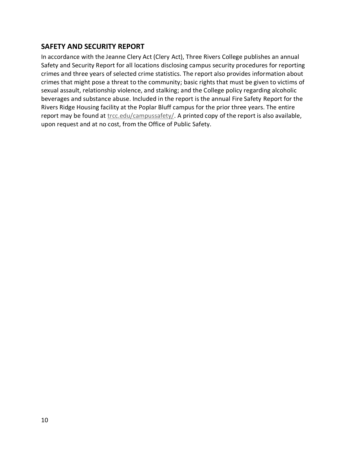# <span id="page-9-0"></span>**SAFETY AND SECURITY REPORT**

In accordance with the Jeanne Clery Act (Clery Act), Three Rivers College publishes an annual Safety and Security Report for all locations disclosing campus security procedures for reporting crimes and three years of selected crime statistics. The report also provides information about crimes that might pose a threat to the community; basic rights that must be given to victims of sexual assault, relationship violence, and stalking; and the College policy regarding alcoholic beverages and substance abuse. Included in the report is the annual Fire Safety Report for the Rivers Ridge Housing facility at the Poplar Bluff campus for the prior three years. The entire report may be found at [trcc.edu/campussafety/.](https://trcc.edu/campussafety/) A printed copy of the report is also available, upon request and at no cost, from the Office of Public Safety.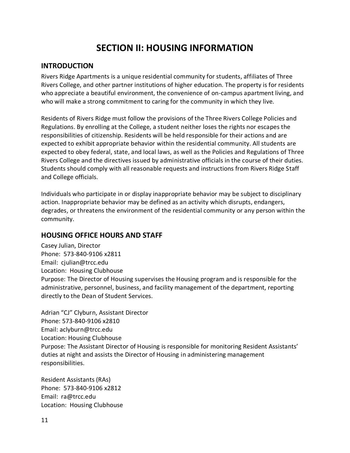# **SECTION II: HOUSING INFORMATION**

#### <span id="page-10-1"></span><span id="page-10-0"></span>**INTRODUCTION**

Rivers Ridge Apartments is a unique residential community for students, affiliates of Three Rivers College, and other partner institutions of higher education. The property is for residents who appreciate a beautiful environment, the convenience of on-campus apartment living, and who will make a strong commitment to caring for the community in which they live.

Residents of Rivers Ridge must follow the provisions of the Three Rivers College Policies and Regulations. By enrolling at the College, a student neither loses the rights nor escapes the responsibilities of citizenship. Residents will be held responsible for their actions and are expected to exhibit appropriate behavior within the residential community. All students are expected to obey federal, state, and local laws, as well as the Policies and Regulations of Three Rivers College and the directives issued by administrative officials in the course of their duties. Students should comply with all reasonable requests and instructions from Rivers Ridge Staff and College officials.

Individuals who participate in or display inappropriate behavior may be subject to disciplinary action. Inappropriate behavior may be defined as an activity which disrupts, endangers, degrades, or threatens the environment of the residential community or any person within the community.

#### <span id="page-10-2"></span>**HOUSING OFFICE HOURS AND STAFF**

Casey Julian, Director Phone: 573-840-9106 x2811 Email: [cjulian@trcc.edu](mailto:cjulian@trcc.edu) Location: Housing Clubhouse Purpose: The Director of Housing supervises the Housing program and is responsible for the administrative, personnel, business, and facility management of the department, reporting directly to the Dean of Student Services.

Adrian "CJ" Clyburn, Assistant Director Phone: 573-840-9106 x2810 Email: [aclyburn@trcc.edu](mailto:email@trcc.edu) Location: Housing Clubhouse Purpose: The Assistant Director of Housing is responsible for monitoring Resident Assistants' duties at night and assists the Director of Housing in administering management responsibilities.

Resident Assistants (RAs) Phone: 573-840-9106 x2812 Email: ra@trcc.edu Location: Housing Clubhouse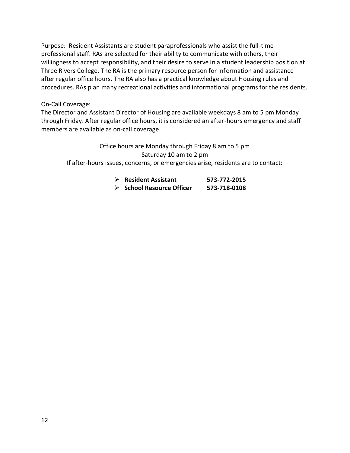Purpose: Resident Assistants are student paraprofessionals who assist the full-time professional staff. RAs are selected for their ability to communicate with others, their willingness to accept responsibility, and their desire to serve in a student leadership position at Three Rivers College. The RA is the primary resource person for information and assistance after regular office hours. The RA also has a practical knowledge about Housing rules and procedures. RAs plan many recreational activities and informational programs for the residents.

#### On-Call Coverage:

The Director and Assistant Director of Housing are available weekdays 8 am to 5 pm Monday through Friday. After regular office hours, it is considered an after-hours emergency and staff members are available as on-call coverage.

Office hours are Monday through Friday 8 am to 5 pm Saturday 10 am to 2 pm If after-hours issues, concerns, or emergencies arise, residents are to contact:

| $\triangleright$ Resident Assistant      | 573-772-2015 |
|------------------------------------------|--------------|
| $\triangleright$ School Resource Officer | 573-718-0108 |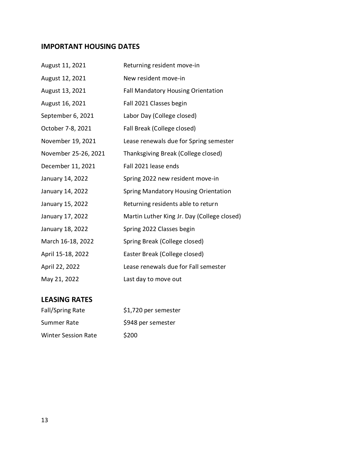# <span id="page-12-0"></span>**IMPORTANT HOUSING DATES**

| August 11, 2021      | Returning resident move-in                  |
|----------------------|---------------------------------------------|
| August 12, 2021      | New resident move-in                        |
| August 13, 2021      | <b>Fall Mandatory Housing Orientation</b>   |
| August 16, 2021      | Fall 2021 Classes begin                     |
| September 6, 2021    | Labor Day (College closed)                  |
| October 7-8, 2021    | Fall Break (College closed)                 |
| November 19, 2021    | Lease renewals due for Spring semester      |
| November 25-26, 2021 | Thanksgiving Break (College closed)         |
| December 11, 2021    | Fall 2021 lease ends                        |
| January 14, 2022     | Spring 2022 new resident move-in            |
| January 14, 2022     | <b>Spring Mandatory Housing Orientation</b> |
| January 15, 2022     | Returning residents able to return          |
| January 17, 2022     | Martin Luther King Jr. Day (College closed) |
| January 18, 2022     | Spring 2022 Classes begin                   |
| March 16-18, 2022    | Spring Break (College closed)               |
| April 15-18, 2022    | Easter Break (College closed)               |
| April 22, 2022       | Lease renewals due for Fall semester        |
| May 21, 2022         | Last day to move out                        |

# <span id="page-12-1"></span>**LEASING RATES**

| Fall/Spring Rate           | \$1,720 per semester |
|----------------------------|----------------------|
| Summer Rate                | \$948 per semester   |
| <b>Winter Session Rate</b> | \$200                |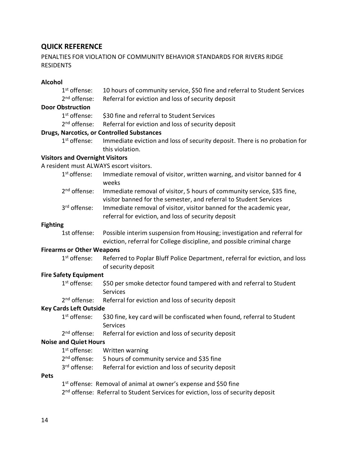# <span id="page-13-0"></span>**QUICK REFERENCE**

#### PENALTIES FOR VIOLATION OF COMMUNITY BEHAVIOR STANDARDS FOR RIVERS RIDGE RESIDENTS

# **Alcohol**

|                               | 1 <sup>st</sup> offense:               | 10 hours of community service, \$50 fine and referral to Student Services                                                                           |
|-------------------------------|----------------------------------------|-----------------------------------------------------------------------------------------------------------------------------------------------------|
|                               | $2nd$ offense:                         | Referral for eviction and loss of security deposit                                                                                                  |
|                               | <b>Door Obstruction</b>                |                                                                                                                                                     |
|                               | 1 <sup>st</sup> offense:               | \$30 fine and referral to Student Services                                                                                                          |
|                               | $2nd$ offense:                         | Referral for eviction and loss of security deposit                                                                                                  |
|                               |                                        | <b>Drugs, Narcotics, or Controlled Substances</b>                                                                                                   |
|                               | 1 <sup>st</sup> offense:               | Immediate eviction and loss of security deposit. There is no probation for<br>this violation.                                                       |
|                               | <b>Visitors and Overnight Visitors</b> |                                                                                                                                                     |
|                               |                                        | A resident must ALWAYS escort visitors.                                                                                                             |
|                               | 1 <sup>st</sup> offense:               | Immediate removal of visitor, written warning, and visitor banned for 4<br>weeks                                                                    |
|                               | 2 <sup>nd</sup> offense:               | Immediate removal of visitor, 5 hours of community service, \$35 fine,<br>visitor banned for the semester, and referral to Student Services         |
|                               | 3rd offense:                           | Immediate removal of visitor, visitor banned for the academic year,<br>referral for eviction, and loss of security deposit                          |
| <b>Fighting</b>               |                                        |                                                                                                                                                     |
|                               | 1st offense:                           | Possible interim suspension from Housing; investigation and referral for<br>eviction, referral for College discipline, and possible criminal charge |
|                               | <b>Firearms or Other Weapons</b>       |                                                                                                                                                     |
|                               | 1 <sup>st</sup> offense:               | Referred to Poplar Bluff Police Department, referral for eviction, and loss<br>of security deposit                                                  |
|                               | <b>Fire Safety Equipment</b>           |                                                                                                                                                     |
|                               | 1 <sup>st</sup> offense:               | \$50 per smoke detector found tampered with and referral to Student<br>Services                                                                     |
|                               | 2 <sup>nd</sup> offense:               | Referral for eviction and loss of security deposit                                                                                                  |
| <b>Key Cards Left Outside</b> |                                        |                                                                                                                                                     |
|                               | 1 <sup>st</sup> offense:               | \$30 fine, key card will be confiscated when found, referral to Student<br>Services                                                                 |
|                               |                                        | 2 <sup>nd</sup> offense: Referral for eviction and loss of security deposit                                                                         |
|                               | <b>Noise and Quiet Hours</b>           |                                                                                                                                                     |
|                               | 1 <sup>st</sup> offense:               | Written warning                                                                                                                                     |
|                               | 2 <sup>nd</sup> offense:               | 5 hours of community service and \$35 fine                                                                                                          |
|                               | 3 <sup>rd</sup> offense:               | Referral for eviction and loss of security deposit                                                                                                  |
| <b>Pets</b>                   |                                        |                                                                                                                                                     |
|                               |                                        | 1st offense: Removal of animal at owner's expense and \$50 fine                                                                                     |
|                               |                                        | 2 <sup>nd</sup> offense: Referral to Student Services for eviction, loss of security deposit                                                        |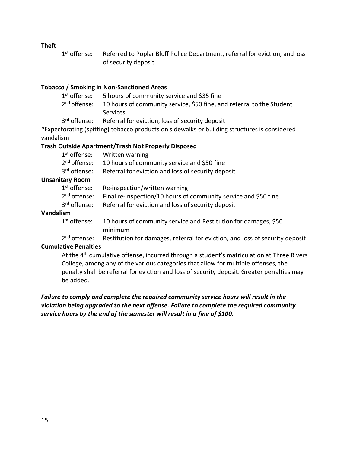#### **Theft**

1<sup>st</sup> offense: Referred to Poplar Bluff Police Department, referral for eviction, and loss of security deposit

#### **Tobacco / Smoking in Non-Sanctioned Areas**

| $1^{\rm st}$ offense:    | 5 hours of community service and \$35 fine                            |
|--------------------------|-----------------------------------------------------------------------|
| 2 <sup>nd</sup> offense: | 10 hours of community service, \$50 fine, and referral to the Student |
|                          | <b>Services</b>                                                       |
|                          |                                                                       |

3<sup>rd</sup> offense: Referral for eviction, loss of security deposit

\*Expectorating (spitting) tobacco products on sidewalks or building structures is considered vandalism

#### **Trash Outside Apartment/Trash Not Properly Disposed**

| $1^\text{st}$ offense:   | Written warning                                    |
|--------------------------|----------------------------------------------------|
| 2 <sup>nd</sup> offense: | 10 hours of community service and \$50 fine        |
| 3 <sup>rd</sup> offense: | Referral for eviction and loss of security deposit |

#### **Unsanitary Room**

| $1^{\text{st}}$ offense: | Re-inspection/written warning                                                            |
|--------------------------|------------------------------------------------------------------------------------------|
|                          | 2 <sup>nd</sup> offense: Final re-inspection/10 hours of community service and \$50 fine |
| 3 <sup>rd</sup> offense: | Referral for eviction and loss of security deposit                                       |

#### **Vandalism**

| $1st$ offense: | 10 hours of community service and Restitution for damages, \$50 |
|----------------|-----------------------------------------------------------------|
|                | minimum                                                         |

2<sup>nd</sup> offense: Restitution for damages, referral for eviction, and loss of security deposit

# **Cumulative Penalties**

At the 4<sup>th</sup> cumulative offense, incurred through a student's matriculation at Three Rivers College, among any of the various categories that allow for multiple offenses, the penalty shall be referral for eviction and loss of security deposit. Greater penalties may be added.

#### *Failure to comply and complete the required community service hours will result in the violation being upgraded to the next offense. Failure to complete the required community service hours by the end of the semester will result in a fine of \$100.*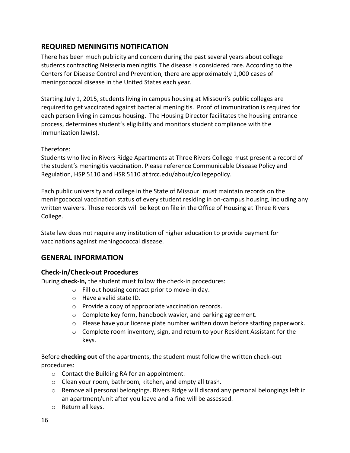# <span id="page-15-0"></span>**REQUIRED MENINGITIS NOTIFICATION**

There has been much publicity and concern during the past several years about college students contracting Neisseria meningitis. The disease is considered rare. According to the Centers for Disease Control and Prevention, there are approximately 1,000 cases of meningococcal disease in the United States each year.

Starting July 1, 2015, students living in campus housing at Missouri's public colleges are required to get vaccinated against bacterial meningitis. Proof of immunization is required for each person living in campus housing. The Housing Director facilitates the housing entrance process, determines student's eligibility and monitors student compliance with the immunization law(s).

#### Therefore:

Students who live in Rivers Ridge Apartments at Three Rivers College must present a record of the student's meningitis vaccination. Please reference Communicable Disease Policy and Regulation, HSP 5110 and HSR 5110 at trcc.edu/about/collegepolicy.

Each public university and college in the State of Missouri must maintain records on the meningococcal vaccination status of every student residing in on-campus housing, including any written waivers. These records will be kept on file in the Office of Housing at Three Rivers College.

State law does not require any institution of higher education to provide payment for vaccinations against meningococcal disease.

#### <span id="page-15-1"></span>**GENERAL INFORMATION**

#### <span id="page-15-2"></span>**Check-in/Check-out Procedures**

During **check-in,** the student must follow the check-in procedures:

- o Fill out housing contract prior to move-in day.
- o Have a valid state ID.
- o Provide a copy of appropriate vaccination records.
- o Complete key form, handbook wavier, and parking agreement.
- $\circ$  Please have your license plate number written down before starting paperwork.
- $\circ$  Complete room inventory, sign, and return to your Resident Assistant for the keys.

Before **checking out** of the apartments, the student must follow the written check-out procedures:

- o Contact the Building RA for an appointment.
- o Clean your room, bathroom, kitchen, and empty all trash.
- $\circ$  Remove all personal belongings. Rivers Ridge will discard any personal belongings left in an apartment/unit after you leave and a fine will be assessed.
- o Return all keys.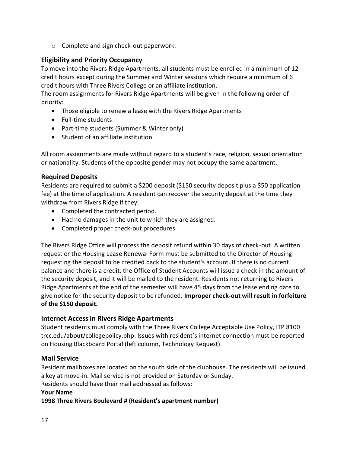o Complete and sign check-out paperwork.

#### <span id="page-16-0"></span>**Eligibility and Priority Occupancy**

To move into the Rivers Ridge Apartments, all students must be enrolled in a minimum of 12 credit hours except during the Summer and Winter sessions which require a minimum of 6 credit hours with Three Rivers College or an affiliate institution.

The room assignments for Rivers Ridge Apartments will be given in the following order of priority:

- Those eligible to renew a lease with the Rivers Ridge Apartments
- Full-time students
- Part-time students (Summer & Winter only)
- Student of an affiliate institution

All room assignments are made without regard to a student's race, religion, sexual orientation or nationality. Students of the opposite gender may not occupy the same apartment.

#### <span id="page-16-1"></span>**Required Deposits**

Residents are required to submit a \$200 deposit (\$150 security deposit plus a \$50 application fee) at the time of application. A resident can recover the security deposit at the time they withdraw from Rivers Ridge if they:

- Completed the contracted period.
- Had no damages in the unit to which they are assigned.
- Completed proper check-out procedures.

The Rivers Ridge Office will process the deposit refund within 30 days of check-out. A written request or the Housing Lease Renewal Form must be submitted to the Director of Housing requesting the deposit to be credited back to the student's account. If there is no current balance and there is a credit, the Office of Student Accounts will issue a check in the amount of the security deposit, and it will be mailed to the resident. Residents not returning to Rivers Ridge Apartments at the end of the semester will have 45 days from the lease ending date to give notice for the security deposit to be refunded. **Improper check-out will result in forfeiture of the \$150 deposit.** 

#### <span id="page-16-2"></span>**Internet Access in Rivers Ridge Apartments**

Student residents must comply with the Three Rivers College Acceptable Use Policy, ITP 8100 trcc.edu/about/collegepolicy.php. Issues with resident's internet connection must be reported on Housing Blackboard Portal (left column, Technology Request).

#### <span id="page-16-3"></span>**Mail Service**

Resident mailboxes are located on the south side of the clubhouse. The residents will be issued a key at move-in. Mail service is not provided on Saturday or Sunday. Residents should have their mail addressed as follows:

#### **Your Name**

**1998 Three Rivers Boulevard # (Resident's apartment number)**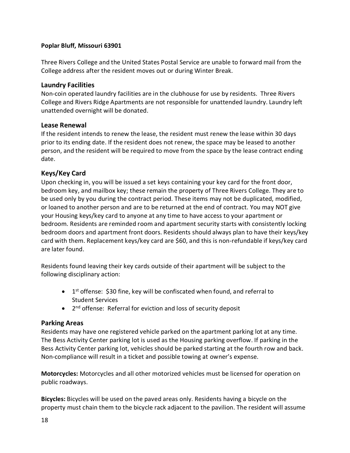#### **Poplar Bluff, Missouri 63901**

Three Rivers College and the United States Postal Service are unable to forward mail from the College address after the resident moves out or during Winter Break.

#### <span id="page-17-0"></span>**Laundry Facilities**

Non-coin operated laundry facilities are in the clubhouse for use by residents. Three Rivers College and Rivers Ridge Apartments are not responsible for unattended laundry. Laundry left unattended overnight will be donated.

#### <span id="page-17-1"></span>**Lease Renewal**

If the resident intends to renew the lease, the resident must renew the lease within 30 days prior to its ending date. If the resident does not renew, the space may be leased to another person, and the resident will be required to move from the space by the lease contract ending date.

#### <span id="page-17-2"></span>**Keys/Key Card**

Upon checking in, you will be issued a set keys containing your key card for the front door, bedroom key, and mailbox key; these remain the property of Three Rivers College. They are to be used only by you during the contract period. These items may not be duplicated, modified, or loaned to another person and are to be returned at the end of contract. You may NOT give your Housing keys/key card to anyone at any time to have access to your apartment or bedroom. Residents are reminded room and apartment security starts with consistently locking bedroom doors and apartment front doors. Residents should always plan to have their keys/key card with them. Replacement keys/key card are \$60, and this is non-refundable if keys/key card are later found.

Residents found leaving their key cards outside of their apartment will be subject to the following disciplinary action:

- 1<sup>st</sup> offense: \$30 fine, key will be confiscated when found, and referral to Student Services
- 2<sup>nd</sup> offense: Referral for eviction and loss of security deposit

#### <span id="page-17-3"></span>**Parking Areas**

Residents may have one registered vehicle parked on the apartment parking lot at any time. The Bess Activity Center parking lot is used as the Housing parking overflow. If parking in the Bess Activity Center parking lot, vehicles should be parked starting at the fourth row and back. Non-compliance will result in a ticket and possible towing at owner's expense.

**Motorcycles:** Motorcycles and all other motorized vehicles must be licensed for operation on public roadways.

**Bicycles:** Bicycles will be used on the paved areas only. Residents having a bicycle on the property must chain them to the bicycle rack adjacent to the pavilion. The resident will assume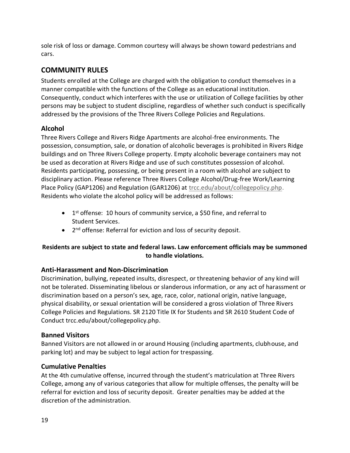sole risk of loss or damage. Common courtesy will always be shown toward pedestrians and cars.

# <span id="page-18-0"></span>**COMMUNITY RULES**

Students enrolled at the College are charged with the obligation to conduct themselves in a manner compatible with the functions of the College as an educational institution. Consequently, conduct which interferes with the use or utilization of College facilities by other persons may be subject to student discipline, regardless of whether such conduct is specifically addressed by the provisions of the Three Rivers College Policies and Regulations.

#### <span id="page-18-1"></span>**Alcohol**

Three Rivers College and Rivers Ridge Apartments are alcohol-free environments. The possession, consumption, sale, or donation of alcoholic beverages is prohibited in Rivers Ridge buildings and on Three Rivers College property. Empty alcoholic beverage containers may not be used as decoration at Rivers Ridge and use of such constitutes possession of alcohol. Residents participating, possessing, or being present in a room with alcohol are subject to disciplinary action. Please reference Three Rivers College Alcohol/Drug-free Work/Learning Place Policy (GAP1206) and Regulation (GAR1206) at [trcc.edu/about/collegepolicy.php.](https://trcc.edu/about/collegepolicy.php) Residents who violate the alcohol policy will be addressed as follows:

- 1<sup>st</sup> offense: 10 hours of community service, a \$50 fine, and referral to Student Services.
- 2<sup>nd</sup> offense: Referral for eviction and loss of security deposit.

#### **Residents are subject to state and federal laws. Law enforcement officials may be summoned to handle violations.**

#### <span id="page-18-2"></span>**Anti-Harassment and Non-Discrimination**

Discrimination, bullying, repeated insults, disrespect, or threatening behavior of any kind will not be tolerated. Disseminating libelous or slanderous information, or any act of harassment or discrimination based on a person's sex, age, race, color, national origin, native language, physical disability, or sexual orientation will be considered a gross violation of Three Rivers College Policies and Regulations. SR 2120 Title IX for Students and SR 2610 Student Code of Conduct trcc.edu/about/collegepolicy.php.

#### <span id="page-18-3"></span>**Banned Visitors**

Banned Visitors are not allowed in or around Housing (including apartments, clubhouse, and parking lot) and may be subject to legal action for trespassing.

#### <span id="page-18-4"></span>**Cumulative Penalties**

At the 4th cumulative offense, incurred through the student's matriculation at Three Rivers College, among any of various categories that allow for multiple offenses, the penalty will be referral for eviction and loss of security deposit. Greater penalties may be added at the discretion of the administration.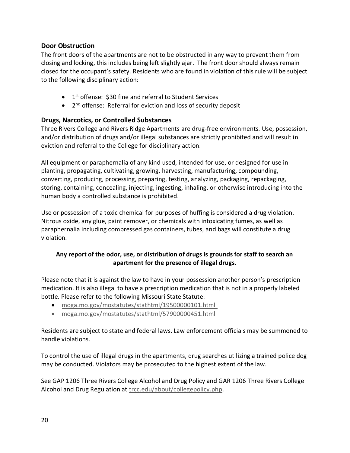#### <span id="page-19-0"></span>**Door Obstruction**

The front doors of the apartments are not to be obstructed in any way to prevent them from closing and locking, this includes being left slightly ajar. The front door should always remain closed for the occupant's safety. Residents who are found in violation of this rule will be subject to the following disciplinary action:

- 1<sup>st</sup> offense: \$30 fine and referral to Student Services
- 2<sup>nd</sup> offense: Referral for eviction and loss of security deposit

#### <span id="page-19-1"></span>**Drugs, Narcotics, or Controlled Substances**

Three Rivers College and Rivers Ridge Apartments are drug-free environments*.* Use, possession, and/or distribution of drugs and/or illegal substances are strictly prohibited and will result in eviction and referral to the College for disciplinary action.

All equipment or paraphernalia of any kind used, intended for use, or designed for use in planting, propagating, cultivating, growing, harvesting, manufacturing, compounding, converting, producing, processing, preparing, testing, analyzing, packaging, repackaging, storing, containing, concealing, injecting, ingesting, inhaling, or otherwise introducing into the human body a controlled substance is prohibited.

Use or possession of a toxic chemical for purposes of huffing is considered a drug violation. Nitrous oxide, any glue, paint remover, or chemicals with intoxicating fumes, as well as paraphernalia including compressed gas containers, tubes, and bags will constitute a drug violation.

#### **Any report of the odor, use, or distribution of drugs is grounds for staff to search an apartment for the presence of illegal drugs.**

Please note that it is against the law to have in your possession another person's prescription medication. It is also illegal to have a prescription medication that is not in a properly labeled bottle. Please refer to the following Missouri State Statute:

- [moga.mo.gov/mostatutes/stathtml/19500000101.html](http://www.moga.mo.gov/mostatutes/stathtml/19500000101.html)
- [moga.mo.gov/mostatutes/stathtml/57900000451.html](http://www.moga.mo.gov/mostatutes/stathtml/57900000451.html)

Residents are subject to state and federal laws. Law enforcement officials may be summoned to handle violations.

To control the use of illegal drugs in the apartments, drug searches utilizing a trained police dog may be conducted. Violators may be prosecuted to the highest extent of the law.

See GAP 1206 Three Rivers College Alcohol and Drug Policy and GAR 1206 Three Rivers College Alcohol and Drug Regulation at [trcc.edu/about/collegepolicy.php.](https://trcc.edu/about/collegepolicy.php)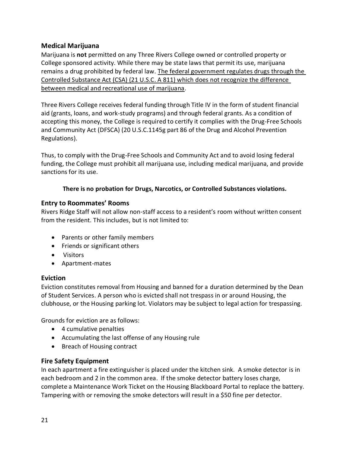#### <span id="page-20-0"></span>**Medical Marijuana**

Marijuana is **not** permitted on any Three Rivers College owned or controlled property or College sponsored activity. While there may be state laws that permit its use, marijuana remains a drug prohibited by federal law. The federal government regulates drugs through the Controlled Substance Act (CSA) (21 U.S.C. A 811) which does not recognize the difference between medical and recreational use of marijuana.

Three Rivers College receives federal funding through Title IV in the form of student financial aid (grants, loans, and work-study programs) and through federal grants. As a condition of accepting this money, the College is required to certify it complies with the Drug-Free Schools and Community Act (DFSCA) (20 U.S.C.1145g part 86 of the Drug and Alcohol Prevention Regulations).

Thus, to comply with the Drug-Free Schools and Community Act and to avoid losing federal funding, the College must prohibit all marijuana use, including medical marijuana, and provide sanctions for its use.

#### **There is no probation for Drugs, Narcotics, or Controlled Substances violations.**

#### <span id="page-20-1"></span>**Entry to Roommates' Rooms**

Rivers Ridge Staff will not allow non-staff access to a resident's room without written consent from the resident. This includes, but is not limited to:

- Parents or other family members
- Friends or significant others
- Visitors
- Apartment-mates

#### <span id="page-20-2"></span>**Eviction**

Eviction constitutes removal from Housing and banned for a duration determined by the Dean of Student Services. A person who is evicted shall not trespass in or around Housing, the clubhouse, or the Housing parking lot. Violators may be subject to legal action for trespassing.

Grounds for eviction are as follows:

- 4 cumulative penalties
- Accumulating the last offense of any Housing rule
- Breach of Housing contract

#### <span id="page-20-3"></span>**Fire Safety Equipment**

In each apartment a fire extinguisher is placed under the kitchen sink. A smoke detector is in each bedroom and 2 in the common area. If the smoke detector battery loses charge, complete a Maintenance Work Ticket on the Housing Blackboard Portal to replace the battery. Tampering with or removing the smoke detectors will result in a \$50 fine per detector.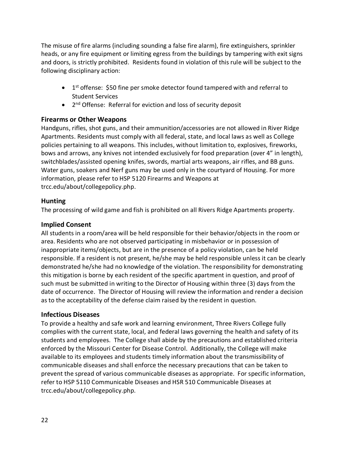The misuse of fire alarms (including sounding a false fire alarm), fire extinguishers, sprinkler heads, or any fire equipment or limiting egress from the buildings by tampering with exit signs and doors, is strictly prohibited. Residents found in violation of this rule will be subject to the following disciplinary action:

- 1<sup>st</sup> offense: \$50 fine per smoke detector found tampered with and referral to Student Services
- 2<sup>nd</sup> Offense: Referral for eviction and loss of security deposit

#### <span id="page-21-0"></span>**Firearms or Other Weapons**

Handguns, rifles, shot guns, and their ammunition/accessories are not allowed in River Ridge Apartments. Residents must comply with all federal, state, and local laws as well as College policies pertaining to all weapons. This includes, without limitation to, explosives, fireworks, bows and arrows, any knives not intended exclusively for food preparation (over 4" in length), switchblades/assisted opening knifes, swords, martial arts weapons, air rifles, and BB guns. Water guns, soakers and Nerf guns may be used only in the courtyard of Housing. For more information, please refer to HSP 5120 Firearms and Weapons at trcc.edu/about/collegepolicy.php.

#### <span id="page-21-1"></span>**Hunting**

The processing of wild game and fish is prohibited on all Rivers Ridge Apartments property.

#### <span id="page-21-2"></span>**Implied Consent**

All students in a room/area will be held responsible for their behavior/objects in the room or area. Residents who are not observed participating in misbehavior or in possession of inappropriate items/objects, but are in the presence of a policy violation, can be held responsible. If a resident is not present, he/she may be held responsible unless it can be clearly demonstrated he/she had no knowledge of the violation. The responsibility for demonstrating this mitigation is borne by each resident of the specific apartment in question, and proof of such must be submitted in writing to the Director of Housing within three (3) days from the date of occurrence. The Director of Housing will review the information and render a decision as to the acceptability of the defense claim raised by the resident in question.

#### <span id="page-21-3"></span>**Infectious Diseases**

To provide a healthy and safe work and learning environment, Three Rivers College fully complies with the current state, local, and federal laws governing the health and safety of its students and employees. The College shall abide by the precautions and established criteria enforced by the Missouri Center for Disease Control. Additionally, the College will make available to its employees and students timely information about the transmissibility of communicable diseases and shall enforce the necessary precautions that can be taken to prevent the spread of various communicable diseases as appropriate. For specific information, refer to HSP 5110 Communicable Diseases and HSR 510 Communicable Diseases at trcc.edu/about/collegepolicy.php.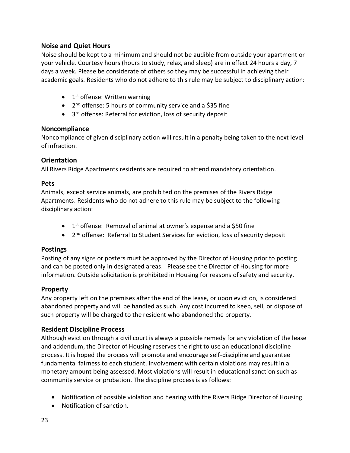#### <span id="page-22-0"></span>**Noise and Quiet Hours**

Noise should be kept to a minimum and should not be audible from outside your apartment or your vehicle. Courtesy hours (hours to study, relax, and sleep) are in effect 24 hours a day, 7 days a week. Please be considerate of others so they may be successful in achieving their academic goals. Residents who do not adhere to this rule may be subject to disciplinary action:

- 1<sup>st</sup> offense: Written warning
- 2<sup>nd</sup> offense: 5 hours of community service and a \$35 fine
- 3<sup>rd</sup> offense: Referral for eviction, loss of security deposit

#### <span id="page-22-1"></span>**Noncompliance**

Noncompliance of given disciplinary action will result in a penalty being taken to the next level of infraction.

#### <span id="page-22-2"></span>**Orientation**

All Rivers Ridge Apartments residents are required to attend mandatory orientation.

#### <span id="page-22-3"></span>**Pets**

Animals, except service animals, are prohibited on the premises of the Rivers Ridge Apartments. Residents who do not adhere to this rule may be subject to the following disciplinary action:

- 1<sup>st</sup> offense: Removal of animal at owner's expense and a \$50 fine
- 2<sup>nd</sup> offense: Referral to Student Services for eviction, loss of security deposit

#### <span id="page-22-4"></span>**Postings**

Posting of any signs or posters must be approved by the Director of Housing prior to posting and can be posted only in designated areas. Please see the Director of Housing for more information. Outside solicitation is prohibited in Housing for reasons of safety and security.

#### <span id="page-22-5"></span>**Property**

Any property left on the premises after the end of the lease, or upon eviction, is considered abandoned property and will be handled as such. Any cost incurred to keep, sell, or dispose of such property will be charged to the resident who abandoned the property.

#### <span id="page-22-6"></span>**Resident Discipline Process**

Although eviction through a civil court is always a possible remedy for any violation of the lease and addendum, the Director of Housing reserves the right to use an educational discipline process. It is hoped the process will promote and encourage self-discipline and guarantee fundamental fairness to each student. Involvement with certain violations may result in a monetary amount being assessed. Most violations will result in educational sanction such as community service or probation. The discipline process is as follows:

- Notification of possible violation and hearing with the Rivers Ridge Director of Housing.
- Notification of sanction.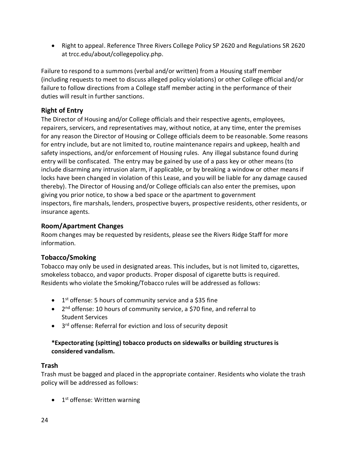• Right to appeal. Reference Three Rivers College Policy SP 2620 and Regulations SR 2620 at trcc.edu/about/collegepolicy.php.

Failure to respond to a summons (verbal and/or written) from a Housing staff member (including requests to meet to discuss alleged policy violations) or other College official and/or failure to follow directions from a College staff member acting in the performance of their duties will result in further sanctions.

#### <span id="page-23-0"></span>**Right of Entry**

The Director of Housing and/or College officials and their respective agents, employees, repairers, servicers, and representatives may, without notice, at any time, enter the premises for any reason the Director of Housing or College officials deem to be reasonable. Some reasons for entry include, but are not limited to, routine maintenance repairs and upkeep, health and safety inspections, and/or enforcement of Housing rules. Any illegal substance found during entry will be confiscated. The entry may be gained by use of a pass key or other means (to include disarming any intrusion alarm, if applicable, or by breaking a window or other means if locks have been changed in violation of this Lease, and you will be liable for any damage caused thereby). The Director of Housing and/or College officials can also enter the premises, upon giving you prior notice, to show a bed space or the apartment to government inspectors, fire marshals, lenders, prospective buyers, prospective residents, other residents, or insurance agents.

#### <span id="page-23-1"></span>**Room/Apartment Changes**

Room changes may be requested by residents, please see the Rivers Ridge Staff for more information.

#### <span id="page-23-2"></span>**Tobacco/Smoking**

Tobacco may only be used in designated areas. This includes, but is not limited to, cigarettes, smokeless tobacco, and vapor products. Proper disposal of cigarette butts is required. Residents who violate the Smoking/Tobacco rules will be addressed as follows:

- 1<sup>st</sup> offense: 5 hours of community service and a \$35 fine
- 2<sup>nd</sup> offense: 10 hours of community service, a \$70 fine, and referral to Student Services
- 3<sup>rd</sup> offense: Referral for eviction and loss of security deposit

#### **\*Expectorating (spitting) tobacco products on sidewalks or building structures is considered vandalism.**

#### <span id="page-23-3"></span>**Trash**

Trash must be bagged and placed in the appropriate container. Residents who violate the trash policy will be addressed as follows:

• 1<sup>st</sup> offense: Written warning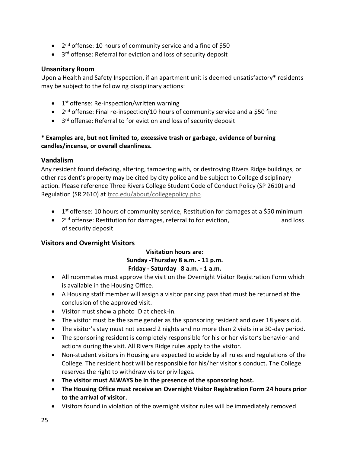- 2<sup>nd</sup> offense: 10 hours of community service and a fine of \$50
- 3<sup>rd</sup> offense: Referral for eviction and loss of security deposit

#### <span id="page-24-0"></span>**Unsanitary Room**

Upon a Health and Safety Inspection, if an apartment unit is deemed unsatisfactory\* residents may be subject to the following disciplinary actions:

- 1<sup>st</sup> offense: Re-inspection/written warning
- 2<sup>nd</sup> offense: Final re-inspection/10 hours of community service and a \$50 fine
- 3<sup>rd</sup> offense: Referral to for eviction and loss of security deposit

#### **\* Examples are, but not limited to, excessive trash or garbage, evidence of burning candles/incense, or overall cleanliness.**

#### <span id="page-24-1"></span>**Vandalism**

Any resident found defacing, altering, tampering with, or destroying Rivers Ridge buildings, or other resident's property may be cited by city police and be subject to College disciplinary action. Please reference Three Rivers College Student Code of Conduct Policy (SP 2610) and Regulation (SR 2610) at [trcc.edu/about/collegepolicy.php](https://trcc.edu/about/collegepolicy.php).

- 1<sup>st</sup> offense: 10 hours of community service, Restitution for damages at a \$50 minimum
- 2<sup>nd</sup> offense: Restitution for damages, referral to for eviction, and loss and loss of security deposit

#### <span id="page-24-2"></span>**Visitors and Overnight Visitors**

#### **Visitation hours are: Sunday -Thursday 8 a.m. - 11 p.m. Friday - Saturday 8 a.m. - 1 a.m.**

- All roommates must approve the visit on the Overnight Visitor Registration Form which is available in the Housing Office.
- A Housing staff member will assign a visitor parking pass that must be returned at the conclusion of the approved visit.
- Visitor must show a photo ID at check-in.
- The visitor must be the same gender as the sponsoring resident and over 18 years old.
- The visitor's stay must not exceed 2 nights and no more than 2 visits in a 30-day period.
- The sponsoring resident is completely responsible for his or her visitor's behavior and actions during the visit. All Rivers Ridge rules apply to the visitor.
- Non-student visitors in Housing are expected to abide by all rules and regulations of the College. The resident host will be responsible for his/her visitor's conduct. The College reserves the right to withdraw visitor privileges.
- **The visitor must ALWAYS be in the presence of the sponsoring host.**
- **The Housing Office must receive an Overnight Visitor Registration Form 24 hours prior to the arrival of visitor.**
- Visitors found in violation of the overnight visitor rules will be immediately removed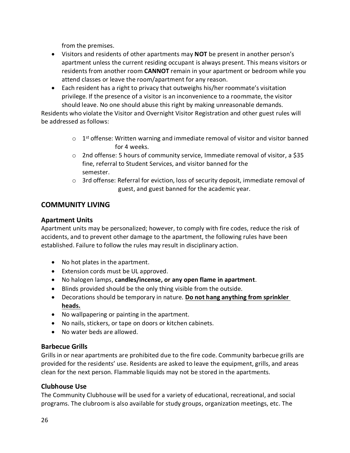from the premises.

- Visitors and residents of other apartments may **NOT** be present in another person's apartment unless the current residing occupant is always present. This means visitors or residents from another room **CANNOT** remain in your apartment or bedroom while you attend classes or leave the room/apartment for any reason.
- Each resident has a right to privacy that outweighs his/her roommate's visitation privilege. If the presence of a visitor is an inconvenience to a roommate, the visitor should leave. No one should abuse this right by making unreasonable demands.

Residents who violate the Visitor and Overnight Visitor Registration and other guest rules will be addressed as follows:

- $\circ$  1<sup>st</sup> offense: Written warning and immediate removal of visitor and visitor banned for 4 weeks.
- $\circ$  2nd offense: 5 hours of community service, Immediate removal of visitor, a \$35 fine, referral to Student Services, and visitor banned for the semester.
- $\circ$  3rd offense: Referral for eviction, loss of security deposit, immediate removal of guest, and guest banned for the academic year.

# <span id="page-25-0"></span>**COMMUNITY LIVING**

#### <span id="page-25-1"></span>**Apartment Units**

Apartment units may be personalized; however, to comply with fire codes, reduce the risk of accidents, and to prevent other damage to the apartment, the following rules have been established. Failure to follow the rules may result in disciplinary action.

- No hot plates in the apartment.
- Extension cords must be UL approved.
- No halogen lamps, **candles/incense, or any open flame in apartment**.
- Blinds provided should be the only thing visible from the outside.
- Decorations should be temporary in nature. **Do not hang anything from sprinkler heads.**
- No wallpapering or painting in the apartment.
- No nails, stickers, or tape on doors or kitchen cabinets.
- No water beds are allowed.

#### <span id="page-25-2"></span>**Barbecue Grills**

Grills in or near apartments are prohibited due to the fire code. Community barbecue grills are provided for the residents' use. Residents are asked to leave the equipment, grills, and areas clean for the next person. Flammable liquids may not be stored in the apartments.

#### <span id="page-25-3"></span>**Clubhouse Use**

The Community Clubhouse will be used for a variety of educational, recreational, and social programs. The clubroom is also available for study groups, organization meetings, etc. The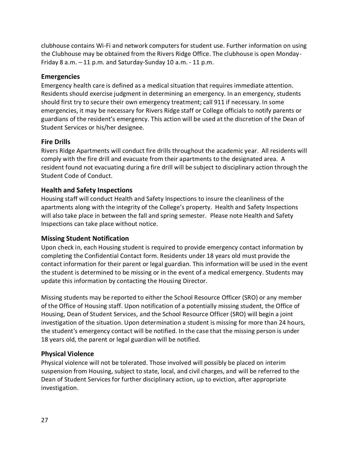clubhouse contains Wi-Fi and network computers for student use. Further information on using the Clubhouse may be obtained from the Rivers Ridge Office. The clubhouse is open Monday-Friday 8 a.m. – 11 p.m. and Saturday-Sunday 10 a.m. - 11 p.m.

#### <span id="page-26-0"></span>**Emergencies**

Emergency health care is defined as a medical situation that requires immediate attention. Residents should exercise judgment in determining an emergency. In an emergency, students should first try to secure their own emergency treatment; call 911 if necessary. In some emergencies, it may be necessary for Rivers Ridge staff or College officials to notify parents or guardians of the resident's emergency. This action will be used at the discretion of the Dean of Student Services or his/her designee.

#### <span id="page-26-1"></span>**Fire Drills**

Rivers Ridge Apartments will conduct fire drills throughout the academic year. All residents will comply with the fire drill and evacuate from their apartments to the designated area. A resident found not evacuating during a fire drill will be subject to disciplinary action through the Student Code of Conduct.

#### <span id="page-26-2"></span>**Health and Safety Inspections**

Housing staff will conduct Health and Safety Inspections to insure the cleanliness of the apartments along with the integrity of the College's property. Health and Safety Inspections will also take place in between the fall and spring semester. Please note Health and Safety Inspections can take place without notice.

#### <span id="page-26-3"></span>**Missing Student Notification**

Upon check in, each Housing student is required to provide emergency contact information by completing the Confidential Contact form. Residents under 18 years old must provide the contact information for their parent or legal guardian. This information will be used in the event the student is determined to be missing or in the event of a medical emergency. Students may update this information by contacting the Housing Director.

Missing students may be reported to either the School Resource Officer (SRO) or any member of the Office of Housing staff. Upon notification of a potentially missing student, the Office of Housing, Dean of Student Services, and the School Resource Officer (SRO) will begin a joint investigation of the situation. Upon determination a student is missing for more than 24 hours, the student's emergency contact will be notified. In the case that the missing person is under 18 years old, the parent or legal guardian will be notified.

#### <span id="page-26-4"></span>**Physical Violence**

Physical violence will not be tolerated. Those involved will possibly be placed on interim suspension from Housing, subject to state, local, and civil charges, and will be referred to the Dean of Student Services for further disciplinary action, up to eviction, after appropriate investigation.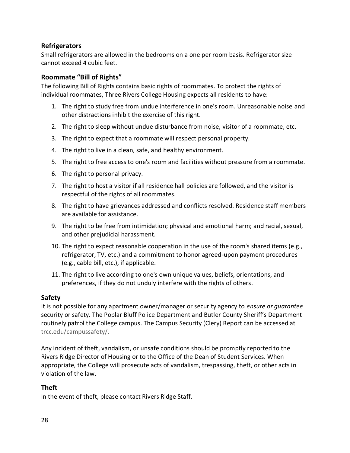#### <span id="page-27-0"></span>**Refrigerators**

Small refrigerators are allowed in the bedrooms on a one per room basis. Refrigerator size cannot exceed 4 cubic feet.

#### <span id="page-27-1"></span>**Roommate "Bill of Rights"**

The following Bill of Rights contains basic rights of roommates. To protect the rights of individual roommates, Three Rivers College Housing expects all residents to have:

- 1. The right to study free from undue interference in one's room. Unreasonable noise and other distractions inhibit the exercise of this right.
- 2. The right to sleep without undue disturbance from noise, visitor of a roommate, etc.
- 3. The right to expect that a roommate will respect personal property.
- 4. The right to live in a clean, safe, and healthy environment.
- 5. The right to free access to one's room and facilities without pressure from a roommate.
- 6. The right to personal privacy.
- 7. The right to host a visitor if all residence hall policies are followed, and the visitor is respectful of the rights of all roommates.
- 8. The right to have grievances addressed and conflicts resolved. Residence staff members are available for assistance.
- 9. The right to be free from intimidation; physical and emotional harm; and racial, sexual, and other prejudicial harassment.
- 10. The right to expect reasonable cooperation in the use of the room's shared items (e.g., refrigerator, TV, etc.) and a commitment to honor agreed-upon payment procedures (e.g., cable bill, etc.), if applicable.
- 11. The right to live according to one's own unique values, beliefs, orientations, and preferences, if they do not unduly interfere with the rights of others*.*

#### <span id="page-27-2"></span>**Safety**

It is not possible for any apartment owner/manager or security agency to *ensure or guarantee* security or safety. The Poplar Bluff Police Department and Butler County Sheriff's Department routinely patrol the College campus. The Campus Security (Clery) Report can be accessed at [trcc.edu/campussafety/](http://www.trcc.edu/campussafety/).

Any incident of theft, vandalism, or unsafe conditions should be promptly reported to the Rivers Ridge Director of Housing or to the Office of the Dean of Student Services. When appropriate, the College will prosecute acts of vandalism, trespassing, theft, or other acts in violation of the law.

#### <span id="page-27-3"></span>**Theft**

In the event of theft, please contact Rivers Ridge Staff.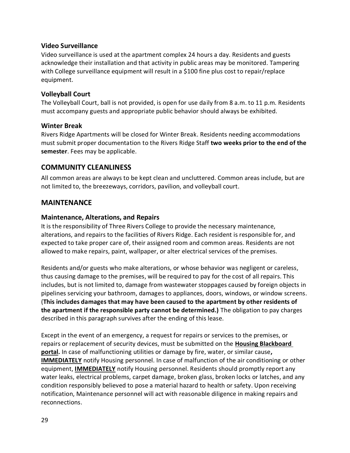#### <span id="page-28-0"></span>**Video Surveillance**

Video surveillance is used at the apartment complex 24 hours a day. Residents and guests acknowledge their installation and that activity in public areas may be monitored. Tampering with College surveillance equipment will result in a \$100 fine plus cost to repair/replace equipment.

#### <span id="page-28-1"></span>**Volleyball Court**

The Volleyball Court, ball is not provided, is open for use daily from 8 a.m. to 11 p.m. Residents must accompany guests and appropriate public behavior should always be exhibited.

#### <span id="page-28-2"></span>**Winter Break**

Rivers Ridge Apartments will be closed for Winter Break. Residents needing accommodations must submit proper documentation to the Rivers Ridge Staff **two weeks prior to the end of the semester**. Fees may be applicable.

#### <span id="page-28-3"></span>**COMMUNITY CLEANLINESS**

All common areas are always to be kept clean and uncluttered. Common areas include, but are not limited to, the breezeways, corridors, pavilion, and volleyball court.

#### <span id="page-28-4"></span>**MAINTENANCE**

#### <span id="page-28-5"></span>**Maintenance, Alterations, and Repairs**

It is the responsibility of Three Rivers College to provide the necessary maintenance, alterations, and repairs to the facilities of Rivers Ridge. Each resident is responsible for, and expected to take proper care of, their assigned room and common areas. Residents are not allowed to make repairs, paint, wallpaper, or alter electrical services of the premises.

Residents and/or guests who make alterations, or whose behavior was negligent or careless, thus causing damage to the premises, will be required to pay for the cost of all repairs. This includes, but is not limited to, damage from wastewater stoppages caused by foreign objects in pipelines servicing your bathroom, damages to appliances, doors, windows, or window screens. (**This includes damages that may have been caused to the apartment by other residents of the apartment if the responsible party cannot be determined.)** The obligation to pay charges described in this paragraph survives after the ending of this lease.

Except in the event of an emergency, a request for repairs or services to the premises, or repairs or replacement of security devices, must be submitted on the **Housing Blackboard portal.** In case of malfunctioning utilities or damage by fire, water, or similar cause**, IMMEDIATELY** notify Housing personnel. In case of malfunction of the air conditioning or other equipment, **IMMEDIATELY** notify Housing personnel. Residents should promptly report any water leaks, electrical problems, carpet damage, broken glass, broken locks or latches, and any condition responsibly believed to pose a material hazard to health or safety. Upon receiving notification, Maintenance personnel will act with reasonable diligence in making repairs and reconnections.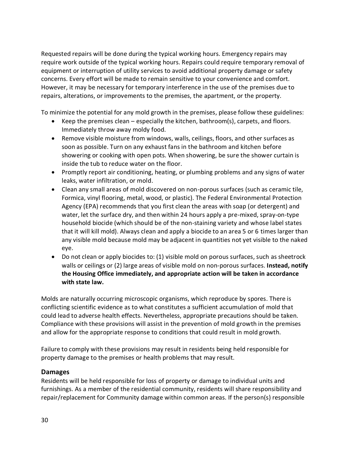Requested repairs will be done during the typical working hours. Emergency repairs may require work outside of the typical working hours. Repairs could require temporary removal of equipment or interruption of utility services to avoid additional property damage or safety concerns. Every effort will be made to remain sensitive to your convenience and comfort. However, it may be necessary for temporary interference in the use of the premises due to repairs, alterations, or improvements to the premises, the apartment, or the property.

To minimize the potential for any mold growth in the premises, please follow these guidelines:

- Keep the premises clean especially the kitchen, bathroom(s), carpets, and floors. Immediately throw away moldy food.
- Remove visible moisture from windows, walls, ceilings, floors, and other surfaces as soon as possible. Turn on any exhaust fans in the bathroom and kitchen before showering or cooking with open pots. When showering, be sure the shower curtain is inside the tub to reduce water on the floor.
- Promptly report air conditioning, heating, or plumbing problems and any signs of water leaks, water infiltration, or mold.
- Clean any small areas of mold discovered on non-porous surfaces (such as ceramic tile, Formica, vinyl flooring, metal, wood, or plastic). The Federal Environmental Protection Agency (EPA) recommends that you first clean the areas with soap (or detergent) and water, let the surface dry, and then within 24 hours apply a pre-mixed, spray-on-type household biocide (which should be of the non-staining variety and whose label states that it will kill mold). Always clean and apply a biocide to an area 5 or 6 times larger than any visible mold because mold may be adjacent in quantities not yet visible to the naked eye.
- Do not clean or apply biocides to: (1) visible mold on porous surfaces, such as sheetrock walls or ceilings or (2) large areas of visible mold on non-porous surfaces. **Instead, notify the Housing Office immediately, and appropriate action will be taken in accordance with state law.**

Molds are naturally occurring microscopic organisms, which reproduce by spores. There is conflicting scientific evidence as to what constitutes a sufficient accumulation of mold that could lead to adverse health effects. Nevertheless, appropriate precautions should be taken. Compliance with these provisions will assist in the prevention of mold growth in the premises and allow for the appropriate response to conditions that could result in mold growth.

Failure to comply with these provisions may result in residents being held responsible for property damage to the premises or health problems that may result.

#### <span id="page-29-0"></span>**Damages**

Residents will be held responsible for loss of property or damage to individual units and furnishings. As a member of the residential community, residents will share responsibility and repair/replacement for Community damage within common areas. If the person(s) responsible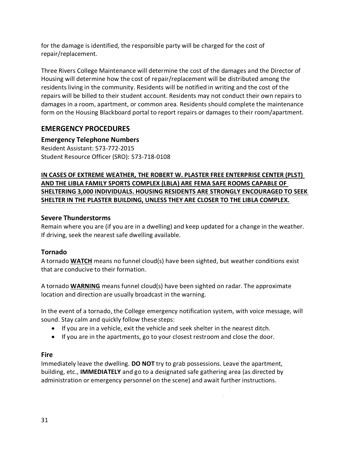for the damage is identified, the responsible party will be charged for the cost of repair/replacement.

Three Rivers College Maintenance will determine the cost of the damages and the Director of Housing will determine how the cost of repair/replacement will be distributed among the residents living in the community. Residents will be notified in writing and the cost of the repairs will be billed to their student account. Residents may not conduct their own repairs to damages in a room, apartment, or common area. Residents should complete the maintenance form on the Housing Blackboard portal to report repairs or damages to their room/apartment.

# <span id="page-30-0"></span>**EMERGENCY PROCEDURES**

#### <span id="page-30-1"></span>**Emergency Telephone Numbers**

Resident Assistant: 573-772-2015 Student Resource Officer (SRO): 573-718-0108

#### **IN CASES OF EXTREME WEATHER, THE ROBERT W. PLASTER FREE ENTERPRISE CENTER (PLST) AND THE LIBLA FAMILY SPORTS COMPLEX (LBLA) ARE FEMA SAFE ROOMS CAPABLE OF SHELTERING 3,000 INDIVIDUALS. HOUSING RESIDENTS ARE STRONGLY ENCOURAGED TO SEEK SHELTER IN THE PLASTER BUILDING, UNLESS THEY ARE CLOSER TO THE LIBLA COMPLEX.**

#### <span id="page-30-2"></span>**Severe Thunderstorms**

Remain where you are (if you are in a dwelling) and keep updated for a change in the weather. If driving, seek the nearest safe dwelling available.

#### <span id="page-30-3"></span>**Tornado**

A tornado **WATCH** means no funnel cloud(s) have been sighted, but weather conditions exist that are conducive to their formation.

A tornado **WARNING** means funnel cloud(s) have been sighted on radar. The approximate location and direction are usually broadcast in the warning.

In the event of a tornado, the College emergency notification system, with voice message, will sound. Stay calm and quickly follow these steps:

- If you are in a vehicle, exit the vehicle and seek shelter in the nearest ditch.
- If you are in the apartments, go to your closest restroom and close the door.

#### <span id="page-30-4"></span>**Fire**

Immediately leave the dwelling. **DO NOT** try to grab possessions. Leave the apartment, building, etc., **IMMEDIATELY** and go to a designated safe gathering area (as directed by administration or emergency personnel on the scene) and await further instructions.